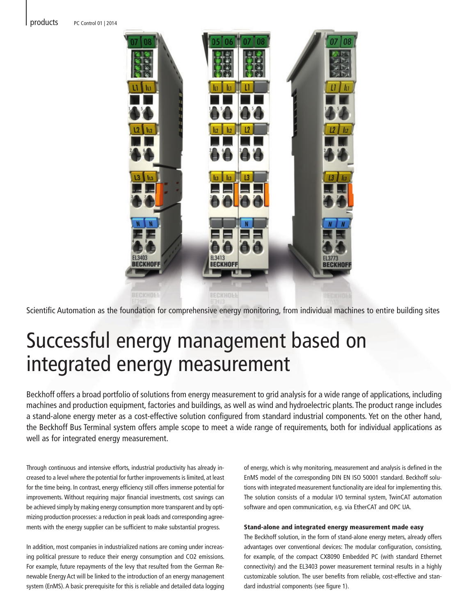products PC Control 01 | 2014



Scientific Automation as the foundation for comprehensive energy monitoring, from individual machines to entire building sites

# Successful energy management based on integrated energy measurement

Beckhoff offers a broad portfolio of solutions from energy measurement to grid analysis for a wide range of applications, including machines and production equipment, factories and buildings, as well as wind and hydroelectric plants. The product range includes a stand-alone energy meter as a cost-effective solution configured from standard industrial components. Yet on the other hand, the Beckhoff Bus Terminal system offers ample scope to meet a wide range of requirements, both for individual applications as well as for integrated energy measurement.

Through continuous and intensive efforts, industrial productivity has already increased to a level where the potential for further improvements is limited, at least for the time being. In contrast, energy efficiency still offers immense potential for improvements. Without requiring major financial investments, cost savings can be achieved simply by making energy consumption more transparent and by optimizing production processes: a reduction in peak loads and corresponding agreements with the energy supplier can be sufficient to make substantial progress.

In addition, most companies in industrialized nations are coming under increasing political pressure to reduce their energy consumption and CO2 emissions. For example, future repayments of the levy that resulted from the German Renewable Energy Act will be linked to the introduction of an energy management system (EnMS). A basic prerequisite for this is reliable and detailed data logging of energy, which is why monitoring, measurement and analysis is defined in the EnMS model of the corresponding DIN EN ISO 50001 standard. Beckhoff solutions with integrated measurement functionality are ideal for implementing this. The solution consists of a modular I/O terminal system, TwinCAT automation software and open communication, e.g. via EtherCAT and OPC UA.

# Stand-alone and integrated energy measurement made easy

The Beckhoff solution, in the form of stand-alone energy meters, already offers advantages over conventional devices: The modular configuration, consisting, for example, of the compact CX8090 Embedded PC (with standard Ethernet connectivity) and the EL3403 power measurement terminal results in a highly customizable solution. The user benefits from reliable, cost-effective and standard industrial components (see figure 1).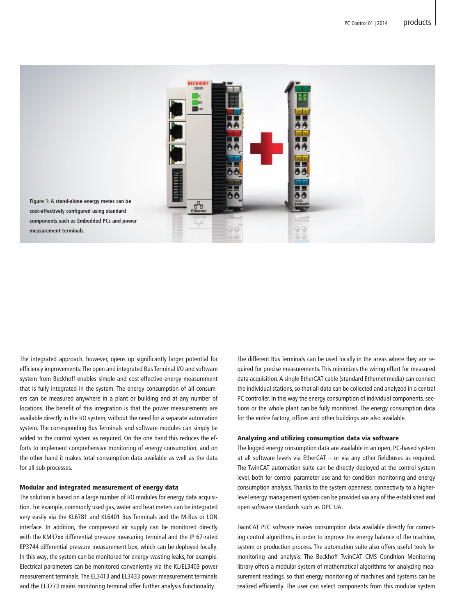

The integrated approach, however, opens up significantly larger potential for efficiency improvements: The open and integrated Bus Terminal I/O and software system from Beckhoff enables simple and cost-effective energy measurement that is fully integrated in the system. The energy consumption of all consumers can be measured anywhere in a plant or building and at any number of locations. The benefit of this integration is that the power measurements are available directly in the I/O system, without the need for a separate automation system. The corresponding Bus Terminals and software modules can simply be added to the control system as required. On the one hand this reduces the efforts to implement comprehensive monitoring of energy consumption, and on the other hand it makes total consumption data available as well as the data for all sub-processes.

# Modular and integrated measurement of energy data

The solution is based on a large number of I/O modules for energy data acquisition. For example, commonly used gas, water and heat meters can be integrated very easily via the KL6781 and KL6401 Bus Terminals and the M-Bus or LON interface. In addition, the compressed air supply can be monitored directly with the KM37xx differential pressure measuring terminal and the IP 67-rated EP3744 differential pressure measurement box, which can be deployed locally. In this way, the system can be monitored for energy-wasting leaks, for example. Electrical parameters can be monitored conveniently via the KL/EL3403 power measurement terminals. The EL3413 and EL3433 power measurement terminals and the EL3773 mains monitoring terminal offer further analysis functionality.

The different Bus Terminals can be used locally in the areas where they are required for precise measurements. This minimizes the wiring effort for measured data acquisition. A single EtherCAT cable (standard Ethernet media) can connect the individual stations, so that all data can be collected and analyzed in a central PC controller. In this way the energy consumption of individual components, sections or the whole plant can be fully monitored. The energy consumption data for the entire factory, offices and other buildings are also available.

#### Analyzing and utilizing consumption data via software

The logged energy consumption data are available in an open, PC-based system at all software levels via EtherCAT – or via any other fieldbuses as required. The TwinCAT automation suite can be directly deployed at the control system level, both for control parameter use and for condition monitoring and energy consumption analysis. Thanks to the system openness, connectivity to a higherlevel energy management system can be provided via any of the established and open software standards such as OPC UA.

TwinCAT PLC software makes consumption data available directly for correcting control algorithms, in order to improve the energy balance of the machine, system or production process. The automation suite also offers useful tools for monitoring and analysis: The Beckhoff TwinCAT CMS Condition Monitoring library offers a modular system of mathematical algorithms for analyzing measurement readings, so that energy monitoring of machines and systems can be realized efficiently. The user can select components from this modular system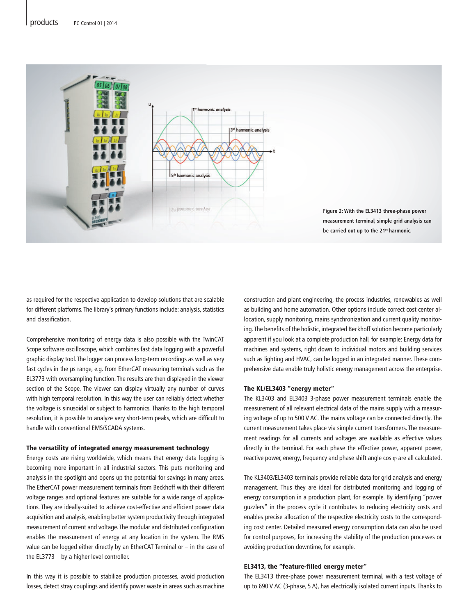

as required for the respective application to develop solutions that are scalable for different platforms. The library's primary functions include: analysis, statistics and classification.

Comprehensive monitoring of energy data is also possible with the TwinCAT Scope software oscilloscope, which combines fast data logging with a powerful graphic display tool. The logger can process long-term recordings as well as very fast cycles in the μs range, e.g. from EtherCAT measuring terminals such as the EL3773 with oversampling function. The results are then displayed in the viewer section of the Scope. The viewer can display virtually any number of curves with high temporal resolution. In this way the user can reliably detect whether the voltage is sinusoidal or subject to harmonics. Thanks to the high temporal resolution, it is possible to analyze very short-term peaks, which are difficult to handle with conventional EMS/SCADA systems.

#### The versatility of integrated energy measurement technology

Energy costs are rising worldwide, which means that energy data logging is becoming more important in all industrial sectors. This puts monitoring and analysis in the spotlight and opens up the potential for savings in many areas. The EtherCAT power measurement terminals from Beckhoff with their different voltage ranges and optional features are suitable for a wide range of applications. They are ideally-suited to achieve cost-effective and efficient power data acquisition and analysis, enabling better system productivity through integrated measurement of current and voltage. The modular and distributed configuration enables the measurement of energy at any location in the system. The RMS value can be logged either directly by an EtherCAT Terminal or – in the case of the EL3773 – by a higher-level controller.

In this way it is possible to stabilize production processes, avoid production losses, detect stray couplings and identify power waste in areas such as machine

construction and plant engineering, the process industries, renewables as well as building and home automation. Other options include correct cost center allocation, supply monitoring, mains synchronization and current quality monitoring. The benefits of the holistic, integrated Beckhoff solution become particularly apparent if you look at a complete production hall, for example: Energy data for machines and systems, right down to individual motors and building services such as lighting and HVAC, can be logged in an integrated manner. These comprehensive data enable truly holistic energy management across the enterprise.

## The KL/EL3403 "energy meter"

The KL3403 and EL3403 3-phase power measurement terminals enable the measurement of all relevant electrical data of the mains supply with a measuring voltage of up to 500 V AC. The mains voltage can be connected directly. The current measurement takes place via simple current transformers. The measurement readings for all currents and voltages are available as effective values directly in the terminal. For each phase the effective power, apparent power, reactive power, energy, frequency and phase shift angle cos  $\varphi$  are all calculated.

The KL3403/EL3403 terminals provide reliable data for grid analysis and energy management. Thus they are ideal for distributed monitoring and logging of energy consumption in a production plant, for example. By identifying "power guzzlers" in the process cycle it contributes to reducing electricity costs and enables precise allocation of the respective electricity costs to the corresponding cost center. Detailed measured energy consumption data can also be used for control purposes, for increasing the stability of the production processes or avoiding production downtime, for example.

# EL3413, the "feature-filled energy meter"

The EL3413 three-phase power measurement terminal, with a test voltage of up to 690 V AC (3-phase, 5 A), has electrically isolated current inputs. Thanks to